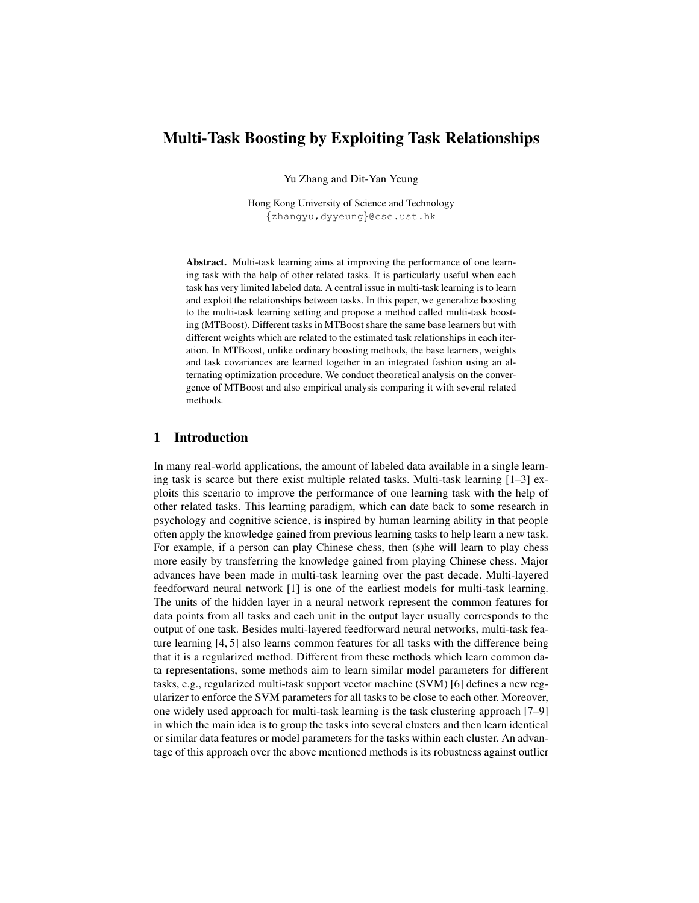# Multi-Task Boosting by Exploiting Task Relationships

Yu Zhang and Dit-Yan Yeung

Hong Kong University of Science and Technology {zhangyu,dyyeung}@cse.ust.hk

Abstract. Multi-task learning aims at improving the performance of one learning task with the help of other related tasks. It is particularly useful when each task has very limited labeled data. A central issue in multi-task learning is to learn and exploit the relationships between tasks. In this paper, we generalize boosting to the multi-task learning setting and propose a method called multi-task boosting (MTBoost). Different tasks in MTBoost share the same base learners but with different weights which are related to the estimated task relationships in each iteration. In MTBoost, unlike ordinary boosting methods, the base learners, weights and task covariances are learned together in an integrated fashion using an alternating optimization procedure. We conduct theoretical analysis on the convergence of MTBoost and also empirical analysis comparing it with several related methods.

## 1 Introduction

In many real-world applications, the amount of labeled data available in a single learning task is scarce but there exist multiple related tasks. Multi-task learning [1–3] exploits this scenario to improve the performance of one learning task with the help of other related tasks. This learning paradigm, which can date back to some research in psychology and cognitive science, is inspired by human learning ability in that people often apply the knowledge gained from previous learning tasks to help learn a new task. For example, if a person can play Chinese chess, then (s)he will learn to play chess more easily by transferring the knowledge gained from playing Chinese chess. Major advances have been made in multi-task learning over the past decade. Multi-layered feedforward neural network [1] is one of the earliest models for multi-task learning. The units of the hidden layer in a neural network represent the common features for data points from all tasks and each unit in the output layer usually corresponds to the output of one task. Besides multi-layered feedforward neural networks, multi-task feature learning [4, 5] also learns common features for all tasks with the difference being that it is a regularized method. Different from these methods which learn common data representations, some methods aim to learn similar model parameters for different tasks, e.g., regularized multi-task support vector machine (SVM) [6] defines a new regularizer to enforce the SVM parameters for all tasks to be close to each other. Moreover, one widely used approach for multi-task learning is the task clustering approach [7–9] in which the main idea is to group the tasks into several clusters and then learn identical or similar data features or model parameters for the tasks within each cluster. An advantage of this approach over the above mentioned methods is its robustness against outlier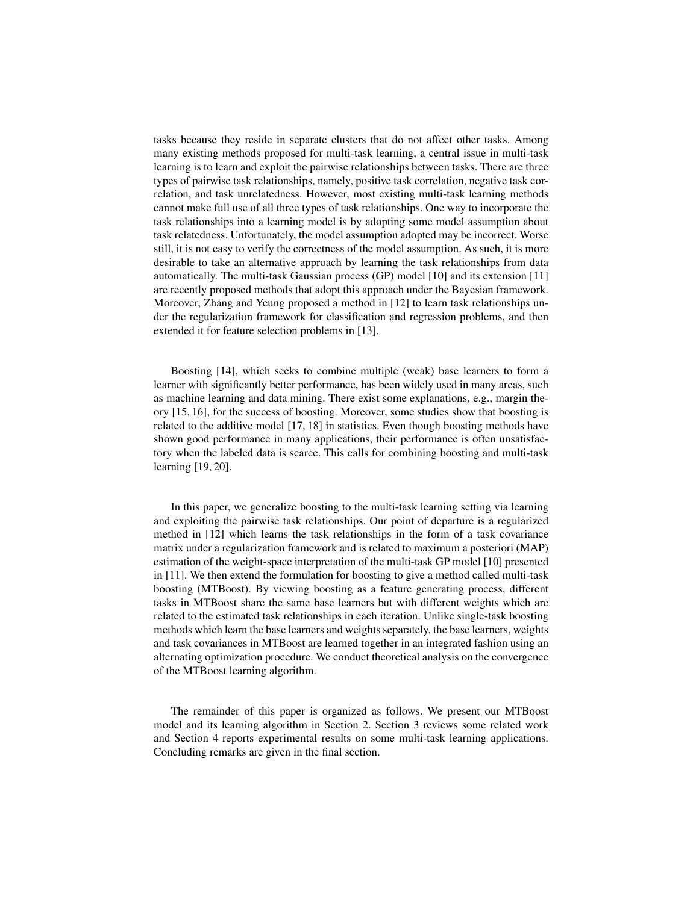tasks because they reside in separate clusters that do not affect other tasks. Among many existing methods proposed for multi-task learning, a central issue in multi-task learning is to learn and exploit the pairwise relationships between tasks. There are three types of pairwise task relationships, namely, positive task correlation, negative task correlation, and task unrelatedness. However, most existing multi-task learning methods cannot make full use of all three types of task relationships. One way to incorporate the task relationships into a learning model is by adopting some model assumption about task relatedness. Unfortunately, the model assumption adopted may be incorrect. Worse still, it is not easy to verify the correctness of the model assumption. As such, it is more desirable to take an alternative approach by learning the task relationships from data automatically. The multi-task Gaussian process (GP) model [10] and its extension [11] are recently proposed methods that adopt this approach under the Bayesian framework. Moreover, Zhang and Yeung proposed a method in [12] to learn task relationships under the regularization framework for classification and regression problems, and then extended it for feature selection problems in [13].

Boosting [14], which seeks to combine multiple (weak) base learners to form a learner with significantly better performance, has been widely used in many areas, such as machine learning and data mining. There exist some explanations, e.g., margin theory [15, 16], for the success of boosting. Moreover, some studies show that boosting is related to the additive model [17, 18] in statistics. Even though boosting methods have shown good performance in many applications, their performance is often unsatisfactory when the labeled data is scarce. This calls for combining boosting and multi-task learning [19, 20].

In this paper, we generalize boosting to the multi-task learning setting via learning and exploiting the pairwise task relationships. Our point of departure is a regularized method in [12] which learns the task relationships in the form of a task covariance matrix under a regularization framework and is related to maximum a posteriori (MAP) estimation of the weight-space interpretation of the multi-task GP model [10] presented in [11]. We then extend the formulation for boosting to give a method called multi-task boosting (MTBoost). By viewing boosting as a feature generating process, different tasks in MTBoost share the same base learners but with different weights which are related to the estimated task relationships in each iteration. Unlike single-task boosting methods which learn the base learners and weights separately, the base learners, weights and task covariances in MTBoost are learned together in an integrated fashion using an alternating optimization procedure. We conduct theoretical analysis on the convergence of the MTBoost learning algorithm.

The remainder of this paper is organized as follows. We present our MTBoost model and its learning algorithm in Section 2. Section 3 reviews some related work and Section 4 reports experimental results on some multi-task learning applications. Concluding remarks are given in the final section.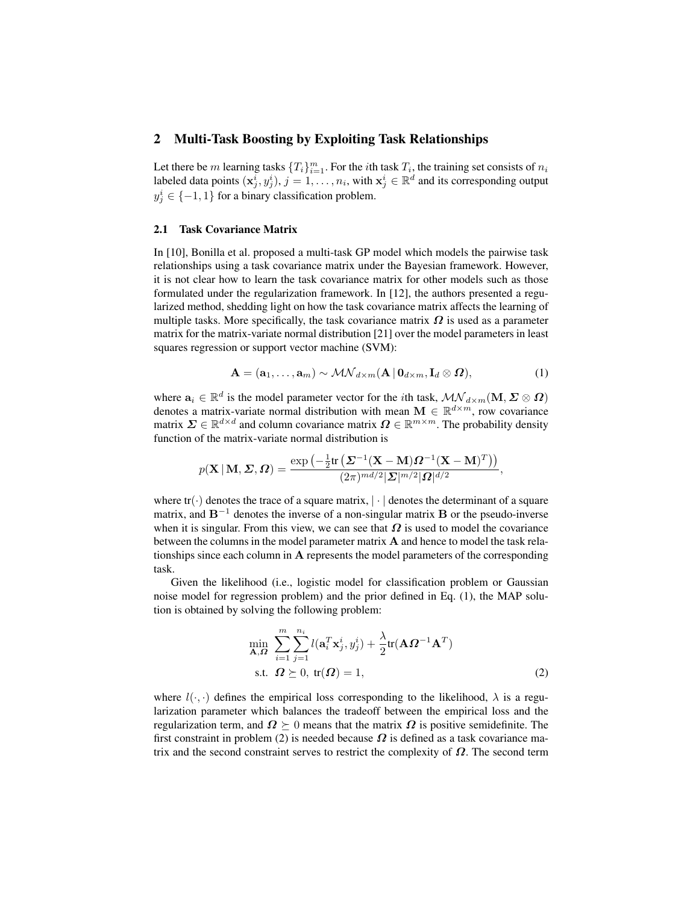### 2 Multi-Task Boosting by Exploiting Task Relationships

Let there be m learning tasks  $\{T_i\}_{i=1}^m$ . For the *i*th task  $T_i$ , the training set consists of  $n_i$ labeled data points  $(x_j^i, y_j^i), j = 1, \ldots, n_i$ , with  $x_j^i \in \mathbb{R}^d$  and its corresponding output  $y_j^i \in \{-1, 1\}$  for a binary classification problem.

#### 2.1 Task Covariance Matrix

In [10], Bonilla et al. proposed a multi-task GP model which models the pairwise task relationships using a task covariance matrix under the Bayesian framework. However, it is not clear how to learn the task covariance matrix for other models such as those formulated under the regularization framework. In [12], the authors presented a regularized method, shedding light on how the task covariance matrix affects the learning of multiple tasks. More specifically, the task covariance matrix  $\Omega$  is used as a parameter matrix for the matrix-variate normal distribution [21] over the model parameters in least squares regression or support vector machine (SVM):

$$
\mathbf{A} = (\mathbf{a}_1, \dots, \mathbf{a}_m) \sim \mathcal{MN}_{d \times m}(\mathbf{A} \,|\, \mathbf{0}_{d \times m}, \mathbf{I}_d \otimes \mathbf{\Omega}), \tag{1}
$$

where  $a_i \in \mathbb{R}^d$  is the model parameter vector for the *i*th task,  $\mathcal{MN}_{d \times m}(\mathbf{M}, \Sigma \otimes \Omega)$ denotes a matrix-variate normal distribution with mean  $\mathbf{M} \in \mathbb{R}^{d \times m}$ , row covariance matrix  $\Sigma \in \mathbb{R}^{d \times d}$  and column covariance matrix  $\Omega \in \mathbb{R}^{m \times m}$ . The probability density function of the matrix-variate normal distribution is

$$
p(\mathbf{X}\,|\,\mathbf{M},\boldsymbol{\varSigma},\boldsymbol{\varOmega})=\frac{\exp\left(-\frac{1}{2}\mathrm{tr}\left(\boldsymbol{\varSigma}^{-1}(\mathbf{X}-\mathbf{M})\boldsymbol{\varOmega}^{-1}(\mathbf{X}-\mathbf{M})^T\right)\right)}{(2\pi)^{md/2}|\boldsymbol{\varSigma}|^{m/2}|\boldsymbol{\varOmega}|^{d/2}},
$$

where  $tr(\cdot)$  denotes the trace of a square matrix,  $|\cdot|$  denotes the determinant of a square matrix, and  $B^{-1}$  denotes the inverse of a non-singular matrix **B** or the pseudo-inverse when it is singular. From this view, we can see that  $\Omega$  is used to model the covariance between the columns in the model parameter matrix A and hence to model the task relationships since each column in A represents the model parameters of the corresponding task.

Given the likelihood (i.e., logistic model for classification problem or Gaussian noise model for regression problem) and the prior defined in Eq. (1), the MAP solution is obtained by solving the following problem:

$$
\min_{\mathbf{A},\mathbf{\Omega}} \sum_{i=1}^{m} \sum_{j=1}^{n_i} l(\mathbf{a}_i^T \mathbf{x}_j^i, y_j^i) + \frac{\lambda}{2} \text{tr}(\mathbf{A}\mathbf{\Omega}^{-1}\mathbf{A}^T)
$$
\n  
\n
$$
\text{s.t.} \quad \mathbf{\Omega} \succeq 0, \text{ tr}(\mathbf{\Omega}) = 1,
$$
\n(2)

where  $l(\cdot, \cdot)$  defines the empirical loss corresponding to the likelihood,  $\lambda$  is a regularization parameter which balances the tradeoff between the empirical loss and the regularization term, and  $\Omega \succeq 0$  means that the matrix  $\Omega$  is positive semidefinite. The first constraint in problem (2) is needed because  $\Omega$  is defined as a task covariance matrix and the second constraint serves to restrict the complexity of  $\Omega$ . The second term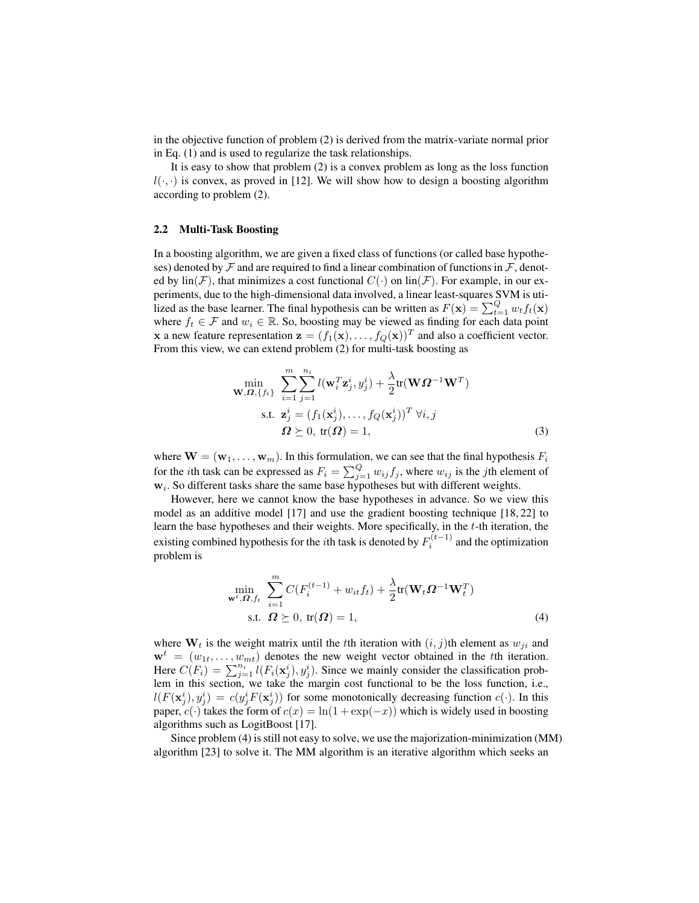in the objective function of problem (2) is derived from the matrix-variate normal prior in Eq. (1) and is used to regularize the task relationships.

It is easy to show that problem (2) is a convex problem as long as the loss function  $l(\cdot, \cdot)$  is convex, as proved in [12]. We will show how to design a boosting algorithm according to problem (2).

#### 2.2 Multi-Task Boosting

In a boosting algorithm, we are given a fixed class of functions (or called base hypotheses) denoted by  $\mathcal F$  and are required to find a linear combination of functions in  $\mathcal F$ , denoted by  $\text{lin}(\mathcal{F})$ , that minimizes a cost functional  $C(\cdot)$  on  $\text{lin}(\mathcal{F})$ . For example, in our experiments, due to the high-dimensional data involved, a linear least-squares SVM is utilized as the base learner. The final hypothesis can be written as  $F(\mathbf{x}) = \sum_{t=1}^{Q} w_t f_t(\mathbf{x})$ where  $f_t \in \mathcal{F}$  and  $w_i \in \mathbb{R}$ . So, boosting may be viewed as finding for each data point **x** a new feature representation  $\mathbf{z} = (f_1(\mathbf{x}), \dots, f_Q(\mathbf{x}))^T$  and also a coefficient vector. From this view, we can extend problem (2) for multi-task boosting as

$$
\min_{\mathbf{W},\boldsymbol{\Omega},\{f_t\}} \sum_{i=1}^m \sum_{j=1}^{n_i} l(\mathbf{w}_i^T \mathbf{z}_j^i, y_j^i) + \frac{\lambda}{2} \text{tr}(\mathbf{W}\boldsymbol{\Omega}^{-1}\mathbf{W}^T)
$$
\n
$$
\text{s.t. } \mathbf{z}_j^i = (f_1(\mathbf{x}_j^i), \dots, f_Q(\mathbf{x}_j^i))^T \,\forall i, j
$$
\n
$$
\boldsymbol{\Omega} \succeq 0, \text{ tr}(\boldsymbol{\Omega}) = 1,
$$
\n(3)

where  $\mathbf{W} = (\mathbf{w}_1, \dots, \mathbf{w}_m)$ . In this formulation, we can see that the final hypothesis  $F_i$ for the *i*th task can be expressed as  $F_i = \sum_{j=1}^{Q} w_{ij} f_j$ , where  $w_{ij}$  is the *j*th element of  $w_i$ . So different tasks share the same base hypotheses but with different weights.

However, here we cannot know the base hypotheses in advance. So we view this model as an additive model [17] and use the gradient boosting technique [18, 22] to learn the base hypotheses and their weights. More specifically, in the t-th iteration, the existing combined hypothesis for the *i*th task is denoted by  $F_i^{(t-1)}$  and the optimization problem is

$$
\min_{\mathbf{w}^t, \Omega, f_t} \sum_{i=1}^m C(F_i^{(t-1)} + w_{it} f_t) + \frac{\lambda}{2} \text{tr}(\mathbf{W}_t \Omega^{-1} \mathbf{W}_t^T)
$$
\n
$$
\text{s.t.} \quad \Omega \ge 0, \text{ tr}(\Omega) = 1,
$$
\n
$$
\tag{4}
$$

where  $W_t$  is the weight matrix until the tth iteration with  $(i, j)$ th element as  $w_{ji}$  and  $\mathbf{w}^{t} = (w_{1t}, \dots, w_{mt})$  denotes the new weight vector obtained in the tth iteration. Here  $C(F_i) = \sum_{j=1}^{n_i} l(F_i(\mathbf{x}_j^i), y_j^i)$ . Since we mainly consider the classification problem in this section, we take the margin cost functional to be the loss function, i.e.,  $l(F(\mathbf{x}_j^i), y_j^i) = c(y_j^i F(\mathbf{x}_j^i))$  for some monotonically decreasing function  $c(\cdot)$ . In this paper,  $c(\cdot)$  takes the form of  $c(x) = \ln(1 + \exp(-x))$  which is widely used in boosting algorithms such as LogitBoost [17].

Since problem (4) is still not easy to solve, we use the majorization-minimization (MM) algorithm [23] to solve it. The MM algorithm is an iterative algorithm which seeks an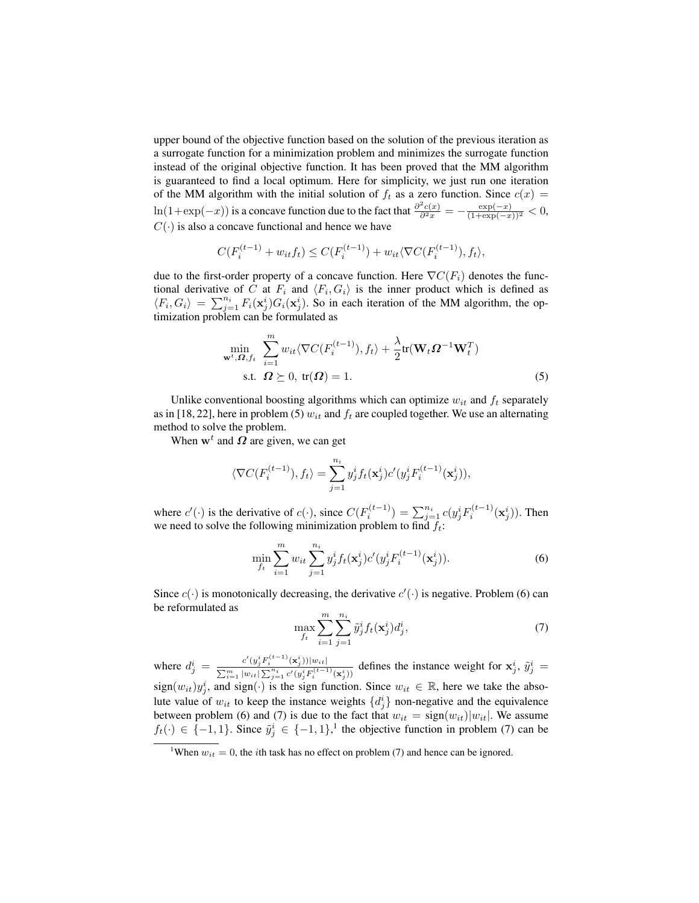upper bound of the objective function based on the solution of the previous iteration as a surrogate function for a minimization problem and minimizes the surrogate function instead of the original objective function. It has been proved that the MM algorithm is guaranteed to find a local optimum. Here for simplicity, we just run one iteration of the MM algorithm with the initial solution of  $f_t$  as a zero function. Since  $c(x) =$  $\ln(1+\exp(-x))$  is a concave function due to the fact that  $\frac{\partial^2 c(x)}{\partial^2 x} = -\frac{\exp(-x)}{(1+\exp(-x))^2} < 0$ ,  $C(\cdot)$  is also a concave functional and hence we have

$$
C(F_i^{(t-1)} + w_{it}f_t) \le C(F_i^{(t-1)}) + w_{it}\langle \nabla C(F_i^{(t-1)}), f_t \rangle,
$$

due to the first-order property of a concave function. Here  $\nabla C(F_i)$  denotes the functional derivative of C at  $F_i$  and  $\langle F_i, G_i \rangle$  is the inner product which is defined as  $\langle F_i, G_i \rangle = \sum_{j=1}^{n_i} F_i(\mathbf{x}_j^i) G_i(\mathbf{x}_j^i)$ . So in each iteration of the MM algorithm, the optimization problem can be formulated as

$$
\min_{\mathbf{w}^t, \Omega, f_t} \sum_{i=1}^m w_{it} \langle \nabla C(F_i^{(t-1)}), f_t \rangle + \frac{\lambda}{2} \text{tr}(\mathbf{W}_t \Omega^{-1} \mathbf{W}_t^T)
$$
\n  
s.t.  $\Omega \geq 0$ ,  $\text{tr}(\Omega) = 1$ . (5)

Unlike conventional boosting algorithms which can optimize  $w_{it}$  and  $f_t$  separately as in [18, 22], here in problem (5)  $w_{it}$  and  $f_t$  are coupled together. We use an alternating method to solve the problem.

When  $w<sup>t</sup>$  and  $\Omega$  are given, we can get

$$
\langle \nabla C(F_i^{(t-1)}), f_t \rangle = \sum_{j=1}^{n_i} y_j^i f_t(\mathbf{x}_j^i) c'(y_j^i F_i^{(t-1)}(\mathbf{x}_j^i)),
$$

where  $c'(\cdot)$  is the derivative of  $c(\cdot)$ , since  $C(F_i^{(t-1)}) = \sum_{j=1}^{n_i} c(y_j^i F_i^{(t-1)}(\mathbf{x}_j^i))$ . Then we need to solve the following minimization problem to find  $f_t$ :

$$
\min_{f_t} \sum_{i=1}^m w_{it} \sum_{j=1}^{n_i} y_j^i f_t(\mathbf{x}_j^i) c'(y_j^i F_i^{(t-1)}(\mathbf{x}_j^i)).
$$
\n(6)

Since  $c(\cdot)$  is monotonically decreasing, the derivative  $c'(\cdot)$  is negative. Problem (6) can be reformulated as

$$
\max_{f_t} \sum_{i=1}^m \sum_{j=1}^{n_i} \tilde{y}_j^i f_t(\mathbf{x}_j^i) d_j^i, \tag{7}
$$

where  $d_j^i = \frac{c'(y_j^i F_i^{(t-1)}(\mathbf{x}_j^i))|w_{it}|}{\sum_{j=1}^m |w_{it}| \sum_{j=1}^n c'(p_i^i F_i^{(t-1)})}$  $\frac{C(y_j P_i^{\dagger} \cdot (x_j)) |w_{it}|}{\sum_{i=1}^m |w_{it}| \sum_{j=1}^{n_i} c'(y_j^i F_i^{(t-1)}(x_j^i))}$  defines the instance weight for  $x_j^i$ ,  $\tilde{y}_j^i =$  $sign(w_{it})y_j^i$ , and  $sign(\cdot)$  is the sign function. Since  $w_{it} \in \mathbb{R}$ , here we take the absolute value of  $w_{it}$  to keep the instance weights  $\{d_j^i\}$  non-negative and the equivalence between problem (6) and (7) is due to the fact that  $w_{it} = \text{sign}(w_{it})|w_{it}|$ . We assume  $f_t(\cdot) \in \{-1, 1\}$ . Since  $\tilde{y}_j^i \in \{-1, 1\}$ ,<sup>1</sup> the objective function in problem (7) can be

<sup>&</sup>lt;sup>1</sup>When  $w_{it} = 0$ , the *i*th task has no effect on problem (7) and hence can be ignored.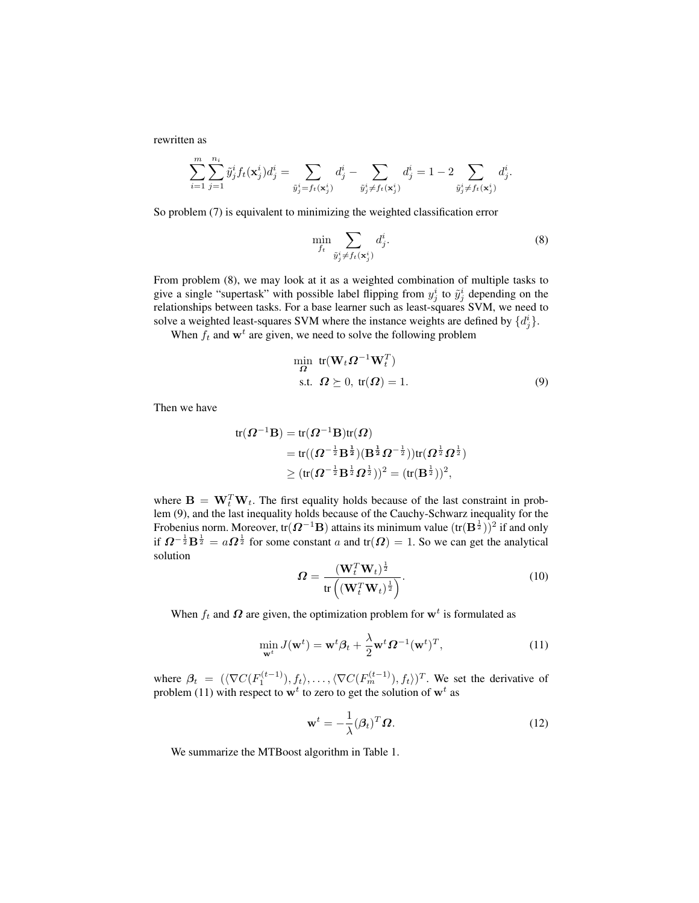rewritten as

$$
\sum_{i=1}^m\sum_{j=1}^{n_i}\tilde{y}_j^if_t(\mathbf{x}^i_j)d^i_j=\sum_{\tilde{y}_j^i=f_t(\mathbf{x}^i_j)}d^i_j-\sum_{\tilde{y}_j^i\neq f_t(\mathbf{x}^i_j)}d^i_j=1-2\sum_{\tilde{y}_j^i\neq f_t(\mathbf{x}^i_j)}d^i_j
$$

So problem (7) is equivalent to minimizing the weighted classification error

$$
\min_{f_t} \sum_{\tilde{y}_j^i \neq f_t(\mathbf{x}_j^i)} d_j^i.
$$
\n(8)

.

From problem (8), we may look at it as a weighted combination of multiple tasks to give a single "supertask" with possible label flipping from  $y_j^i$  to  $\tilde{y}_j^i$  depending on the relationships between tasks. For a base learner such as least-squares SVM, we need to solve a weighted least-squares SVM where the instance weights are defined by  $\{d_j^i\}$ .

When  $f_t$  and  $\mathbf{w}^t$  are given, we need to solve the following problem

$$
\min_{\Omega} \text{tr}(\mathbf{W}_t \Omega^{-1} \mathbf{W}_t^T)
$$
  
s.t.  $\Omega \succeq 0$ , tr( $\Omega$ ) = 1. (9)

Then we have

$$
\begin{aligned} \text{tr}(\boldsymbol{\varOmega}^{-1}\mathbf{B}) &= \text{tr}(\boldsymbol{\varOmega}^{-1}\mathbf{B})\text{tr}(\boldsymbol{\varOmega}) \\ &= \text{tr}((\boldsymbol{\varOmega}^{-\frac{1}{2}}\mathbf{B}^{\frac{1}{2}})(\mathbf{B}^{\frac{1}{2}}\boldsymbol{\varOmega}^{-\frac{1}{2}}))\text{tr}(\boldsymbol{\varOmega}^{\frac{1}{2}}\boldsymbol{\varOmega}^{\frac{1}{2}}) \\ &\geq (\text{tr}(\boldsymbol{\varOmega}^{-\frac{1}{2}}\mathbf{B}^{\frac{1}{2}}\boldsymbol{\varOmega}^{\frac{1}{2}}))^2 = (\text{tr}(\mathbf{B}^{\frac{1}{2}}))^2, \end{aligned}
$$

where  $\mathbf{B} = \mathbf{W}_t^T \mathbf{W}_t$ . The first equality holds because of the last constraint in problem (9), and the last inequality holds because of the Cauchy-Schwarz inequality for the Frobenius norm. Moreover, tr $(\Omega^{-1}B)$  attains its minimum value  $(\text{tr}(\mathbf{B}^{\frac{1}{2}}))^2$  if and only if  $\Omega^{-\frac{1}{2}}B^{\frac{1}{2}} = a\Omega^{\frac{1}{2}}$  for some constant a and tr $(\Omega) = 1$ . So we can get the analytical solution

$$
\Omega = \frac{(\mathbf{W}_t^T \mathbf{W}_t)^{\frac{1}{2}}}{\text{tr}\left((\mathbf{W}_t^T \mathbf{W}_t)^{\frac{1}{2}}\right)}.
$$
\n(10)

When  $f_t$  and  $\Omega$  are given, the optimization problem for  $\mathbf{w}^t$  is formulated as

$$
\min_{\mathbf{w}^t} J(\mathbf{w}^t) = \mathbf{w}^t \boldsymbol{\beta}_t + \frac{\lambda}{2} \mathbf{w}^t \boldsymbol{\Omega}^{-1} (\mathbf{w}^t)^T, \tag{11}
$$

where  $\beta_t = (\langle \nabla C(F_1^{(t-1)}), f_t \rangle, \dots, \langle \nabla C(F_m^{(t-1)}), f_t \rangle)^T$ . We set the derivative of problem (11) with respect to  $w<sup>t</sup>$  to zero to get the solution of  $w<sup>t</sup>$  as

$$
\mathbf{w}^{t} = -\frac{1}{\lambda} (\boldsymbol{\beta}_{t})^{T} \boldsymbol{\Omega}.
$$
 (12)

We summarize the MTBoost algorithm in Table 1.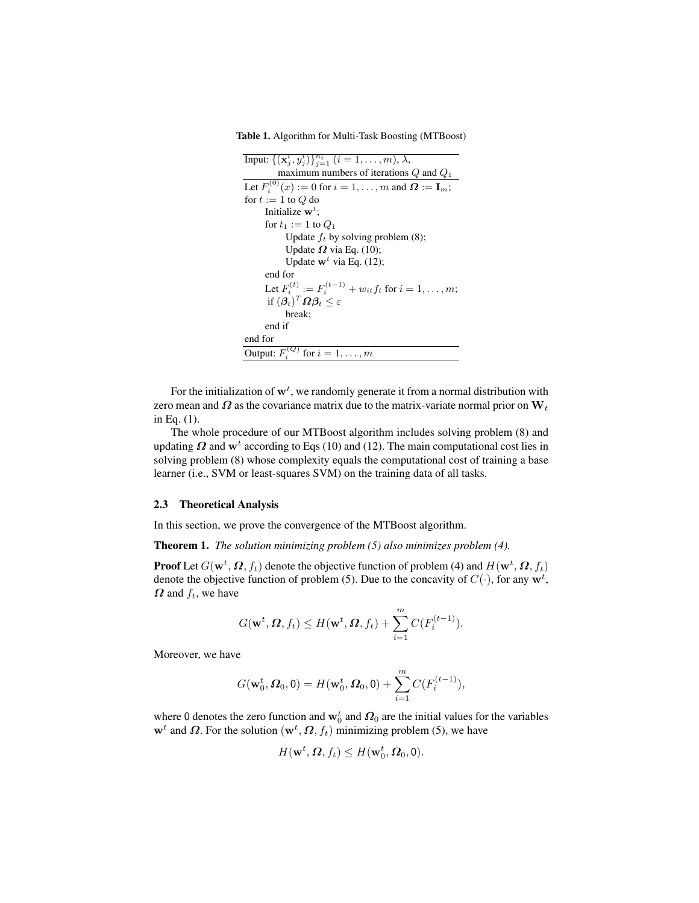Table 1. Algorithm for Multi-Task Boosting (MTBoost)

| Input: $\{(\mathbf{x}_j^i, y_j^i)\}_{j=1}^{n_i}$ $(i = 1, , m)$ , $\lambda$ ,           |
|-----------------------------------------------------------------------------------------|
| maximum numbers of iterations $Q$ and $Q_1$                                             |
| Let $F_i^{(0)}(x) := 0$ for $i = 1, \ldots, m$ and $\Omega := I_m$ ;                    |
| for $t := 1$ to Q do                                                                    |
| Initialize $\mathbf{w}^t$ :                                                             |
| for $t_1 := 1$ to $Q_1$                                                                 |
| Update $f_t$ by solving problem (8);                                                    |
| Update $\Omega$ via Eq. (10);                                                           |
| Update $\mathbf{w}^t$ via Eq. (12);                                                     |
| end for                                                                                 |
| Let $F_i^{(t)} := F_i^{(t-1)} + w_{it} f_t$ for $i = 1, , m$ ;                          |
| if $(\boldsymbol{\beta}_t)^T \boldsymbol{\Omega} \boldsymbol{\beta}_t \leq \varepsilon$ |
| break:                                                                                  |
| end if                                                                                  |
| end for                                                                                 |
| Output: $F_i^{(Q)}$ for $i = 1, \ldots, m$                                              |

For the initialization of  $\mathbf{w}^t$ , we randomly generate it from a normal distribution with zero mean and  $\Omega$  as the covariance matrix due to the matrix-variate normal prior on  $W_t$ in Eq. (1).

The whole procedure of our MTBoost algorithm includes solving problem (8) and updating  $\Omega$  and w<sup>t</sup> according to Eqs (10) and (12). The main computational cost lies in solving problem (8) whose complexity equals the computational cost of training a base learner (i.e., SVM or least-squares SVM) on the training data of all tasks.

#### 2.3 Theoretical Analysis

In this section, we prove the convergence of the MTBoost algorithm.

Theorem 1. *The solution minimizing problem (5) also minimizes problem (4).*

**Proof** Let  $G(\mathbf{w}^t, \boldsymbol{\Omega}, f_t)$  denote the objective function of problem (4) and  $H(\mathbf{w}^t, \boldsymbol{\Omega}, f_t)$ denote the objective function of problem (5). Due to the concavity of  $C(\cdot)$ , for any  $w^t$ ,  $\Omega$  and  $f_t$ , we have

$$
G(\mathbf{w}^t, \boldsymbol{\Omega}, f_t) \leq H(\mathbf{w}^t, \boldsymbol{\Omega}, f_t) + \sum_{i=1}^m C(F_i^{(t-1)}).
$$

Moreover, we have

$$
G(\mathbf{w}_0^t, \Omega_0, 0) = H(\mathbf{w}_0^t, \Omega_0, 0) + \sum_{i=1}^m C(F_i^{(t-1)}),
$$

where 0 denotes the zero function and  $\mathbf{w}_0^t$  and  $\boldsymbol{\varOmega}_0$  are the initial values for the variables  $\mathbf{w}^{t}$  and  $\boldsymbol{\Omega}$ . For the solution  $(\mathbf{w}^{t}, \boldsymbol{\Omega}, f_{t})$  minimizing problem (5), we have

$$
H(\mathbf{w}^t, \Omega, f_t) \le H(\mathbf{w}_0^t, \Omega_0, 0).
$$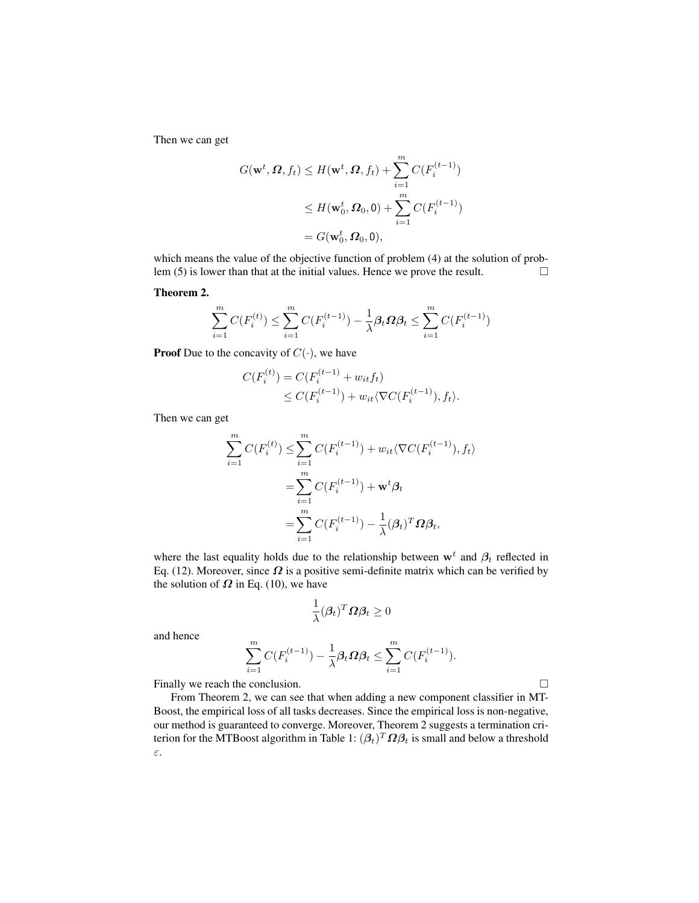Then we can get

$$
G(\mathbf{w}^t, \Omega, f_t) \le H(\mathbf{w}^t, \Omega, f_t) + \sum_{i=1}^m C(F_i^{(t-1)})
$$
  

$$
\le H(\mathbf{w}_0^t, \Omega_0, 0) + \sum_{i=1}^m C(F_i^{(t-1)})
$$
  

$$
= G(\mathbf{w}_0^t, \Omega_0, 0),
$$

which means the value of the objective function of problem (4) at the solution of problem (5) is lower than that at the initial values. Hence we prove the result.  $\Box$ 

Theorem 2.

$$
\sum_{i=1}^{m} C(F_i^{(t)}) \le \sum_{i=1}^{m} C(F_i^{(t-1)}) - \frac{1}{\lambda} \beta_t \Omega \beta_t \le \sum_{i=1}^{m} C(F_i^{(t-1)})
$$

**Proof** Due to the concavity of  $C(\cdot)$ , we have

$$
C(F_i^{(t)}) = C(F_i^{(t-1)} + w_{it}f_t)
$$
  
\n
$$
\leq C(F_i^{(t-1)}) + w_{it} \langle \nabla C(F_i^{(t-1)}), f_t \rangle.
$$

Then we can get

$$
\sum_{i=1}^{m} C(F_i^{(t)}) \leq \sum_{i=1}^{m} C(F_i^{(t-1)}) + w_{it} \langle \nabla C(F_i^{(t-1)}), f_t \rangle
$$
  
= 
$$
\sum_{i=1}^{m} C(F_i^{(t-1)}) + \mathbf{w}^t \beta_t
$$
  
= 
$$
\sum_{i=1}^{m} C(F_i^{(t-1)}) - \frac{1}{\lambda} (\beta_t)^T \Omega \beta_t,
$$

where the last equality holds due to the relationship between  $\mathbf{w}^t$  and  $\beta_t$  reflected in Eq. (12). Moreover, since  $\Omega$  is a positive semi-definite matrix which can be verified by the solution of  $\Omega$  in Eq. (10), we have

$$
\frac{1}{\lambda}(\boldsymbol{\beta}_t)^T\boldsymbol{\Omega}\boldsymbol{\beta}_t\geq 0
$$

and hence

$$
\sum_{i=1}^m C(F_i^{(t-1)}) - \frac{1}{\lambda} \beta_t \Omega \beta_t \le \sum_{i=1}^m C(F_i^{(t-1)}).
$$

Finally we reach the conclusion.

From Theorem 2, we can see that when adding a new component classifier in MT-Boost, the empirical loss of all tasks decreases. Since the empirical loss is non-negative, our method is guaranteed to converge. Moreover, Theorem 2 suggests a termination criterion for the MTBoost algorithm in Table 1:  $(\beta_t)^T \bm{\Omega} \beta_t$  is small and below a threshold ε.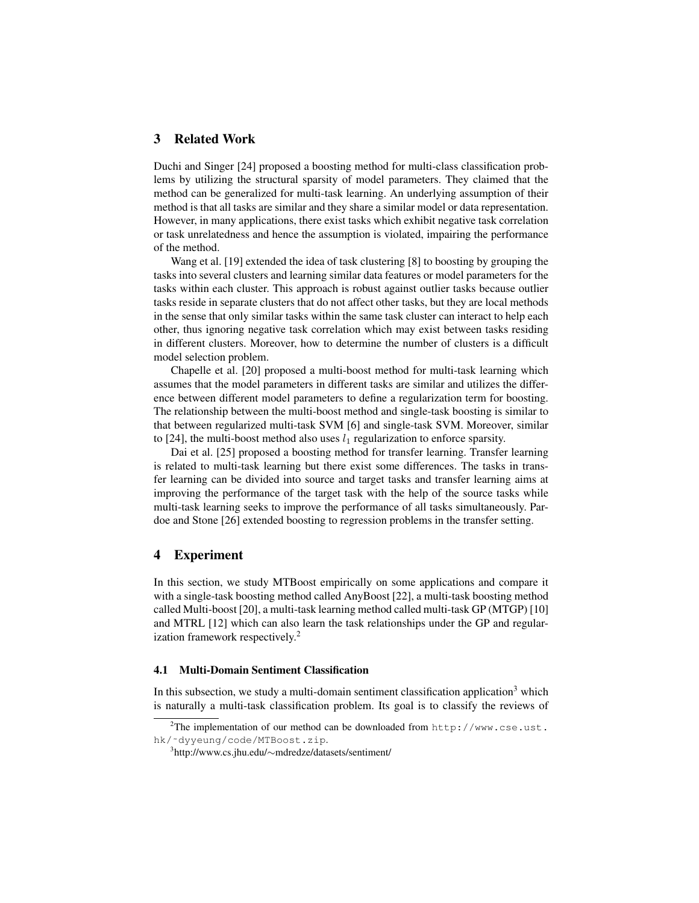## 3 Related Work

Duchi and Singer [24] proposed a boosting method for multi-class classification problems by utilizing the structural sparsity of model parameters. They claimed that the method can be generalized for multi-task learning. An underlying assumption of their method is that all tasks are similar and they share a similar model or data representation. However, in many applications, there exist tasks which exhibit negative task correlation or task unrelatedness and hence the assumption is violated, impairing the performance of the method.

Wang et al. [19] extended the idea of task clustering [8] to boosting by grouping the tasks into several clusters and learning similar data features or model parameters for the tasks within each cluster. This approach is robust against outlier tasks because outlier tasks reside in separate clusters that do not affect other tasks, but they are local methods in the sense that only similar tasks within the same task cluster can interact to help each other, thus ignoring negative task correlation which may exist between tasks residing in different clusters. Moreover, how to determine the number of clusters is a difficult model selection problem.

Chapelle et al. [20] proposed a multi-boost method for multi-task learning which assumes that the model parameters in different tasks are similar and utilizes the difference between different model parameters to define a regularization term for boosting. The relationship between the multi-boost method and single-task boosting is similar to that between regularized multi-task SVM [6] and single-task SVM. Moreover, similar to [24], the multi-boost method also uses  $l_1$  regularization to enforce sparsity.

Dai et al. [25] proposed a boosting method for transfer learning. Transfer learning is related to multi-task learning but there exist some differences. The tasks in transfer learning can be divided into source and target tasks and transfer learning aims at improving the performance of the target task with the help of the source tasks while multi-task learning seeks to improve the performance of all tasks simultaneously. Pardoe and Stone [26] extended boosting to regression problems in the transfer setting.

### 4 Experiment

In this section, we study MTBoost empirically on some applications and compare it with a single-task boosting method called AnyBoost [22], a multi-task boosting method called Multi-boost [20], a multi-task learning method called multi-task GP (MTGP) [10] and MTRL [12] which can also learn the task relationships under the GP and regularization framework respectively.<sup>2</sup>

#### 4.1 Multi-Domain Sentiment Classification

In this subsection, we study a multi-domain sentiment classification application<sup>3</sup> which is naturally a multi-task classification problem. Its goal is to classify the reviews of

<sup>&</sup>lt;sup>2</sup>The implementation of our method can be downloaded from  $http://www.cse.ust.$ hk/˜dyyeung/code/MTBoost.zip.

<sup>3</sup> http://www.cs.jhu.edu/∼mdredze/datasets/sentiment/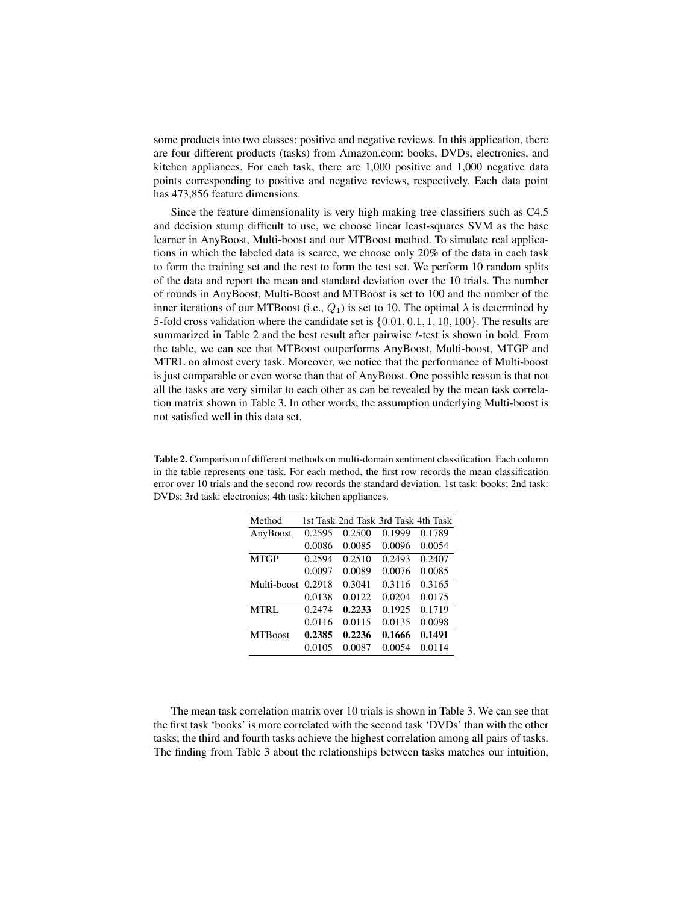some products into two classes: positive and negative reviews. In this application, there are four different products (tasks) from Amazon.com: books, DVDs, electronics, and kitchen appliances. For each task, there are 1,000 positive and 1,000 negative data points corresponding to positive and negative reviews, respectively. Each data point has 473,856 feature dimensions.

Since the feature dimensionality is very high making tree classifiers such as C4.5 and decision stump difficult to use, we choose linear least-squares SVM as the base learner in AnyBoost, Multi-boost and our MTBoost method. To simulate real applications in which the labeled data is scarce, we choose only 20% of the data in each task to form the training set and the rest to form the test set. We perform 10 random splits of the data and report the mean and standard deviation over the 10 trials. The number of rounds in AnyBoost, Multi-Boost and MTBoost is set to 100 and the number of the inner iterations of our MTBoost (i.e.,  $Q_1$ ) is set to 10. The optimal  $\lambda$  is determined by 5-fold cross validation where the candidate set is  $\{0.01, 0.1, 1, 10, 100\}$ . The results are summarized in Table 2 and the best result after pairwise t-test is shown in bold. From the table, we can see that MTBoost outperforms AnyBoost, Multi-boost, MTGP and MTRL on almost every task. Moreover, we notice that the performance of Multi-boost is just comparable or even worse than that of AnyBoost. One possible reason is that not all the tasks are very similar to each other as can be revealed by the mean task correlation matrix shown in Table 3. In other words, the assumption underlying Multi-boost is not satisfied well in this data set.

Table 2. Comparison of different methods on multi-domain sentiment classification. Each column in the table represents one task. For each method, the first row records the mean classification error over 10 trials and the second row records the standard deviation. 1st task: books; 2nd task: DVDs; 3rd task: electronics; 4th task: kitchen appliances.

| Method         |        | 1st Task 2nd Task 3rd Task 4th Task |        |        |
|----------------|--------|-------------------------------------|--------|--------|
| AnyBoost       | 0.2595 | 0.2500                              | 0.1999 | 0.1789 |
|                | 0.0086 | 0.0085                              | 0.0096 | 0.0054 |
| <b>MTGP</b>    | 0.2594 | 0.2510                              | 0.2493 | 0.2407 |
|                | 0.0097 | 0.0089                              | 0.0076 | 0.0085 |
| Multi-boost    | 0.2918 | 0.3041                              | 0.3116 | 0.3165 |
|                | 0.0138 | 0.0122                              | 0.0204 | 0.0175 |
| <b>MTRL</b>    | 0.2474 | 0.2233                              | 0.1925 | 0.1719 |
|                | 0.0116 | 0.0115                              | 0.0135 | 0.0098 |
| <b>MTBoost</b> | 0.2385 | 0.2236                              | 0.1666 | 0.1491 |
|                | 0.0105 | 0.0087                              | 0.0054 | 0.0114 |

The mean task correlation matrix over 10 trials is shown in Table 3. We can see that the first task 'books' is more correlated with the second task 'DVDs' than with the other tasks; the third and fourth tasks achieve the highest correlation among all pairs of tasks. The finding from Table 3 about the relationships between tasks matches our intuition,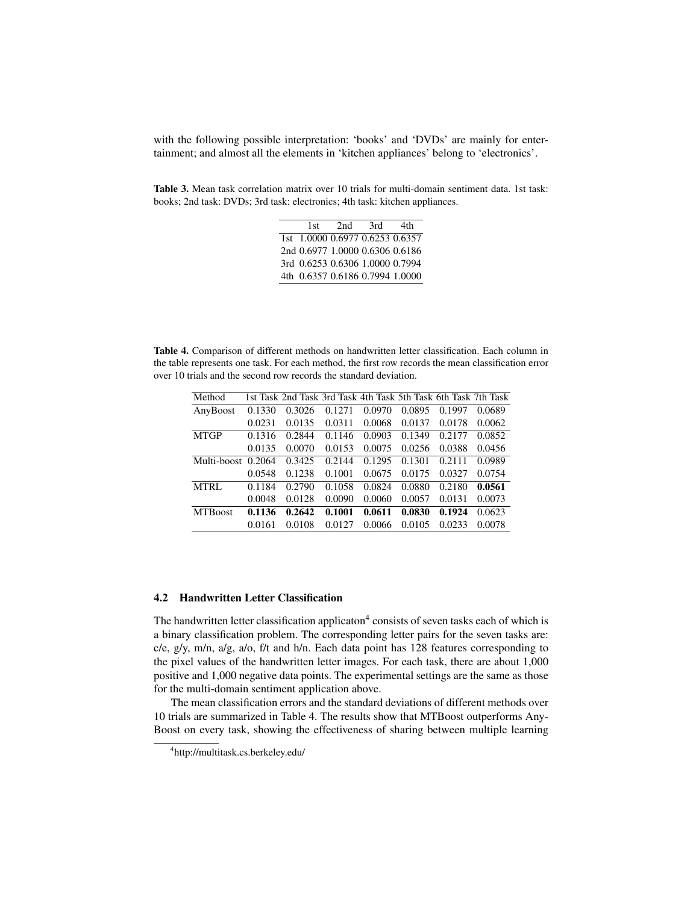with the following possible interpretation: 'books' and 'DVDs' are mainly for entertainment; and almost all the elements in 'kitchen appliances' belong to 'electronics'.

Table 3. Mean task correlation matrix over 10 trials for multi-domain sentiment data. 1st task: books; 2nd task: DVDs; 3rd task: electronics; 4th task: kitchen appliances.

| 1st | 2nd | 3rd                             | 4th |
|-----|-----|---------------------------------|-----|
|     |     | 1st 1.0000 0.6977 0.6253 0.6357 |     |
|     |     | 2nd 0.6977 1.0000 0.6306 0.6186 |     |
|     |     | 3rd 0.6253 0.6306 1.0000 0.7994 |     |
|     |     | 4th 0.6357 0.6186 0.7994 1.0000 |     |

Table 4. Comparison of different methods on handwritten letter classification. Each column in the table represents one task. For each method, the first row records the mean classification error over 10 trials and the second row records the standard deviation.

| Method             |        | 1st Task 2nd Task 3rd Task 4th Task 5th Task 6th Task 7th Task |        |        |        |        |        |
|--------------------|--------|----------------------------------------------------------------|--------|--------|--------|--------|--------|
| AnyBoost           | 0.1330 | 0.3026                                                         | 0.1271 | 0.0970 | 0.0895 | 0.1997 | 0.0689 |
|                    | 0.0231 | 0.0135                                                         | 0.0311 | 0.0068 | 0.0137 | 0.0178 | 0.0062 |
| <b>MTGP</b>        | 0.1316 | 0.2844                                                         | 0.1146 | 0.0903 | 0.1349 | 0.2177 | 0.0852 |
|                    | 0.0135 | 0.0070                                                         | 0.0153 | 0.0075 | 0.0256 | 0.0388 | 0.0456 |
| Multi-boost 0.2064 |        | 0.3425                                                         | 0.2144 | 0.1295 | 0.1301 | 0.2111 | 0.0989 |
|                    | 0.0548 | 0.1238                                                         | 0.1001 | 0.0675 | 0.0175 | 0.0327 | 0.0754 |
| <b>MTRL</b>        | 0.1184 | 0.2790                                                         | 0.1058 | 0.0824 | 0.0880 | 0.2180 | 0.0561 |
|                    | 0.0048 | 0.0128                                                         | 0.0090 | 0.0060 | 0.0057 | 0.0131 | 0.0073 |
| <b>MTBoost</b>     | 0.1136 | 0.2642                                                         | 0.1001 | 0.0611 | 0.0830 | 0.1924 | 0.0623 |
|                    | 0.0161 | 0.0108                                                         | 0.0127 | 0.0066 | 0.0105 | 0.0233 | 0.0078 |
|                    |        |                                                                |        |        |        |        |        |

### 4.2 Handwritten Letter Classification

The handwritten letter classification applicaton<sup>4</sup> consists of seven tasks each of which is a binary classification problem. The corresponding letter pairs for the seven tasks are: c/e, g/y, m/n, a/g, a/o, f/t and h/n. Each data point has 128 features corresponding to the pixel values of the handwritten letter images. For each task, there are about 1,000 positive and 1,000 negative data points. The experimental settings are the same as those for the multi-domain sentiment application above.

The mean classification errors and the standard deviations of different methods over 10 trials are summarized in Table 4. The results show that MTBoost outperforms Any-Boost on every task, showing the effectiveness of sharing between multiple learning

<sup>4</sup> http://multitask.cs.berkeley.edu/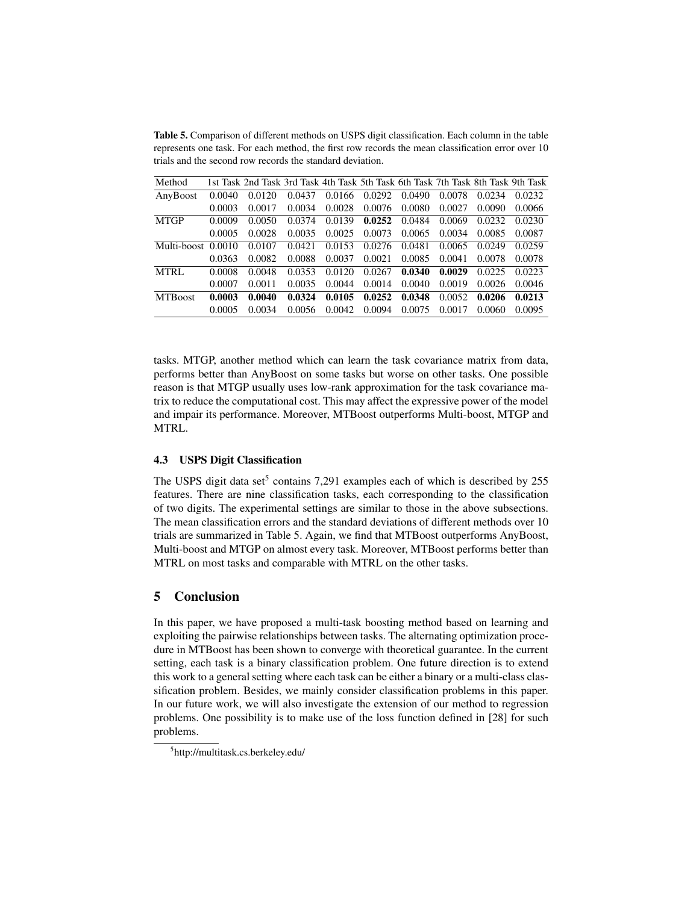Table 5. Comparison of different methods on USPS digit classification. Each column in the table represents one task. For each method, the first row records the mean classification error over 10 trials and the second row records the standard deviation.

| Method             |        | 1st Task 2nd Task 3rd Task 4th Task 5th Task 6th Task 7th Task 8th Task 9th Task |        |        |        |                   |        |        |        |
|--------------------|--------|----------------------------------------------------------------------------------|--------|--------|--------|-------------------|--------|--------|--------|
| AnyBoost           | 0.0040 | 0.0120                                                                           | 0.0437 | 0.0166 | 0.0292 | 0.0490            | 0.0078 | 0.0234 | 0.0232 |
|                    | 0.0003 | 0.0017                                                                           | 0.0034 | 0.0028 | 0.0076 | 0.0080            | 0.0027 | 0.0090 | 0.0066 |
| <b>MTGP</b>        | 0.0009 | 0.0050                                                                           | 0.0374 | 0.0139 |        | $0.0252$ 0.0484   | 0.0069 | 0.0232 | 0.0230 |
|                    | 0.0005 | 0.0028                                                                           | 0.0035 | 0.0025 | 0.0073 | 0.0065            | 0.0034 | 0.0085 | 0.0087 |
| Multi-boost 0.0010 |        | 0.0107                                                                           | 0.0421 | 0.0153 | 0.0276 | 0.0481            | 0.0065 | 0.0249 | 0.0259 |
|                    | 0.0363 | 0.0082                                                                           | 0.0088 | 0.0037 | 0.0021 | 0.0085            | 0.0041 | 0.0078 | 0.0078 |
| <b>MTRL</b>        | 0.0008 | 0.0048                                                                           | 0.0353 | 0.0120 | 0.0267 | 0.0340            | 0.0029 | 0.0225 | 0.0223 |
|                    | 0.0007 | 0.0011                                                                           | 0.0035 | 0.0044 | 0.0014 | 0.0040            | 0.0019 | 0.0026 | 0.0046 |
| <b>MTBoost</b>     | 0.0003 | 0.0040                                                                           | 0.0324 | 0.0105 |        | $0.0252$ $0.0348$ | 0.0052 | 0.0206 | 0.0213 |
|                    | 0.0005 | 0.0034                                                                           | 0.0056 | 0.0042 | 0.0094 | 0.0075            | 0.0017 | 0.0060 | 0.0095 |

tasks. MTGP, another method which can learn the task covariance matrix from data, performs better than AnyBoost on some tasks but worse on other tasks. One possible reason is that MTGP usually uses low-rank approximation for the task covariance matrix to reduce the computational cost. This may affect the expressive power of the model and impair its performance. Moreover, MTBoost outperforms Multi-boost, MTGP and MTRL.

### 4.3 USPS Digit Classification

The USPS digit data set<sup>5</sup> contains 7,291 examples each of which is described by 255 features. There are nine classification tasks, each corresponding to the classification of two digits. The experimental settings are similar to those in the above subsections. The mean classification errors and the standard deviations of different methods over 10 trials are summarized in Table 5. Again, we find that MTBoost outperforms AnyBoost, Multi-boost and MTGP on almost every task. Moreover, MTBoost performs better than MTRL on most tasks and comparable with MTRL on the other tasks.

## 5 Conclusion

In this paper, we have proposed a multi-task boosting method based on learning and exploiting the pairwise relationships between tasks. The alternating optimization procedure in MTBoost has been shown to converge with theoretical guarantee. In the current setting, each task is a binary classification problem. One future direction is to extend this work to a general setting where each task can be either a binary or a multi-class classification problem. Besides, we mainly consider classification problems in this paper. In our future work, we will also investigate the extension of our method to regression problems. One possibility is to make use of the loss function defined in [28] for such problems.

<sup>5</sup> http://multitask.cs.berkeley.edu/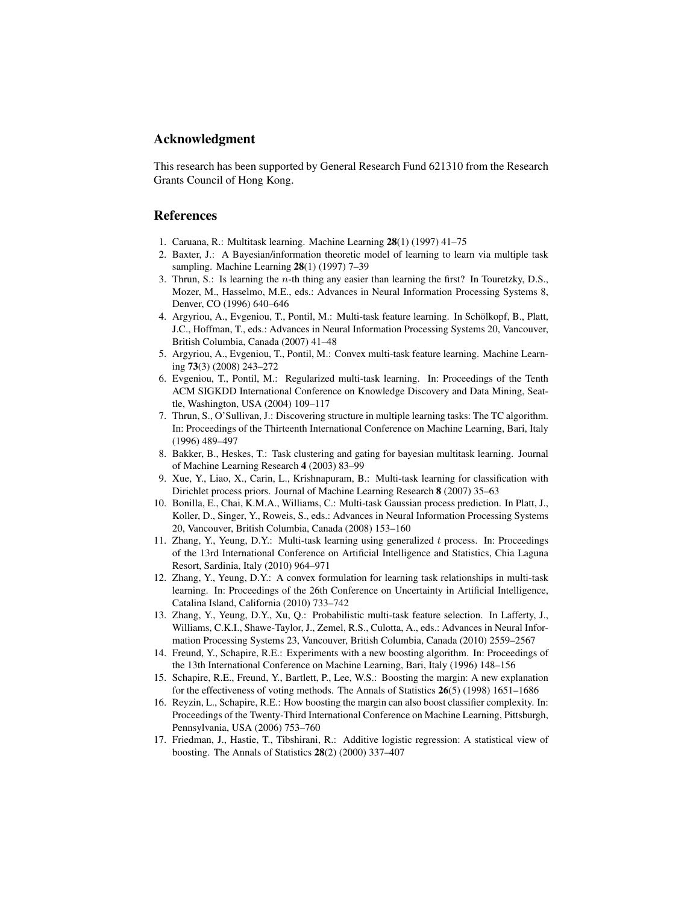## Acknowledgment

This research has been supported by General Research Fund 621310 from the Research Grants Council of Hong Kong.

### References

- 1. Caruana, R.: Multitask learning. Machine Learning 28(1) (1997) 41–75
- 2. Baxter, J.: A Bayesian/information theoretic model of learning to learn via multiple task sampling. Machine Learning 28(1) (1997) 7-39
- 3. Thrun, S.: Is learning the n-th thing any easier than learning the first? In Touretzky, D.S., Mozer, M., Hasselmo, M.E., eds.: Advances in Neural Information Processing Systems 8, Denver, CO (1996) 640–646
- 4. Argyriou, A., Evgeniou, T., Pontil, M.: Multi-task feature learning. In Schölkopf, B., Platt, J.C., Hoffman, T., eds.: Advances in Neural Information Processing Systems 20, Vancouver, British Columbia, Canada (2007) 41–48
- 5. Argyriou, A., Evgeniou, T., Pontil, M.: Convex multi-task feature learning. Machine Learning 73(3) (2008) 243–272
- 6. Evgeniou, T., Pontil, M.: Regularized multi-task learning. In: Proceedings of the Tenth ACM SIGKDD International Conference on Knowledge Discovery and Data Mining, Seattle, Washington, USA (2004) 109–117
- 7. Thrun, S., O'Sullivan, J.: Discovering structure in multiple learning tasks: The TC algorithm. In: Proceedings of the Thirteenth International Conference on Machine Learning, Bari, Italy (1996) 489–497
- 8. Bakker, B., Heskes, T.: Task clustering and gating for bayesian multitask learning. Journal of Machine Learning Research 4 (2003) 83–99
- 9. Xue, Y., Liao, X., Carin, L., Krishnapuram, B.: Multi-task learning for classification with Dirichlet process priors. Journal of Machine Learning Research 8 (2007) 35–63
- 10. Bonilla, E., Chai, K.M.A., Williams, C.: Multi-task Gaussian process prediction. In Platt, J., Koller, D., Singer, Y., Roweis, S., eds.: Advances in Neural Information Processing Systems 20, Vancouver, British Columbia, Canada (2008) 153–160
- 11. Zhang, Y., Yeung, D.Y.: Multi-task learning using generalized t process. In: Proceedings of the 13rd International Conference on Artificial Intelligence and Statistics, Chia Laguna Resort, Sardinia, Italy (2010) 964–971
- 12. Zhang, Y., Yeung, D.Y.: A convex formulation for learning task relationships in multi-task learning. In: Proceedings of the 26th Conference on Uncertainty in Artificial Intelligence, Catalina Island, California (2010) 733–742
- 13. Zhang, Y., Yeung, D.Y., Xu, Q.: Probabilistic multi-task feature selection. In Lafferty, J., Williams, C.K.I., Shawe-Taylor, J., Zemel, R.S., Culotta, A., eds.: Advances in Neural Information Processing Systems 23, Vancouver, British Columbia, Canada (2010) 2559–2567
- 14. Freund, Y., Schapire, R.E.: Experiments with a new boosting algorithm. In: Proceedings of the 13th International Conference on Machine Learning, Bari, Italy (1996) 148–156
- 15. Schapire, R.E., Freund, Y., Bartlett, P., Lee, W.S.: Boosting the margin: A new explanation for the effectiveness of voting methods. The Annals of Statistics 26(5) (1998) 1651–1686
- 16. Reyzin, L., Schapire, R.E.: How boosting the margin can also boost classifier complexity. In: Proceedings of the Twenty-Third International Conference on Machine Learning, Pittsburgh, Pennsylvania, USA (2006) 753–760
- 17. Friedman, J., Hastie, T., Tibshirani, R.: Additive logistic regression: A statistical view of boosting. The Annals of Statistics 28(2) (2000) 337–407